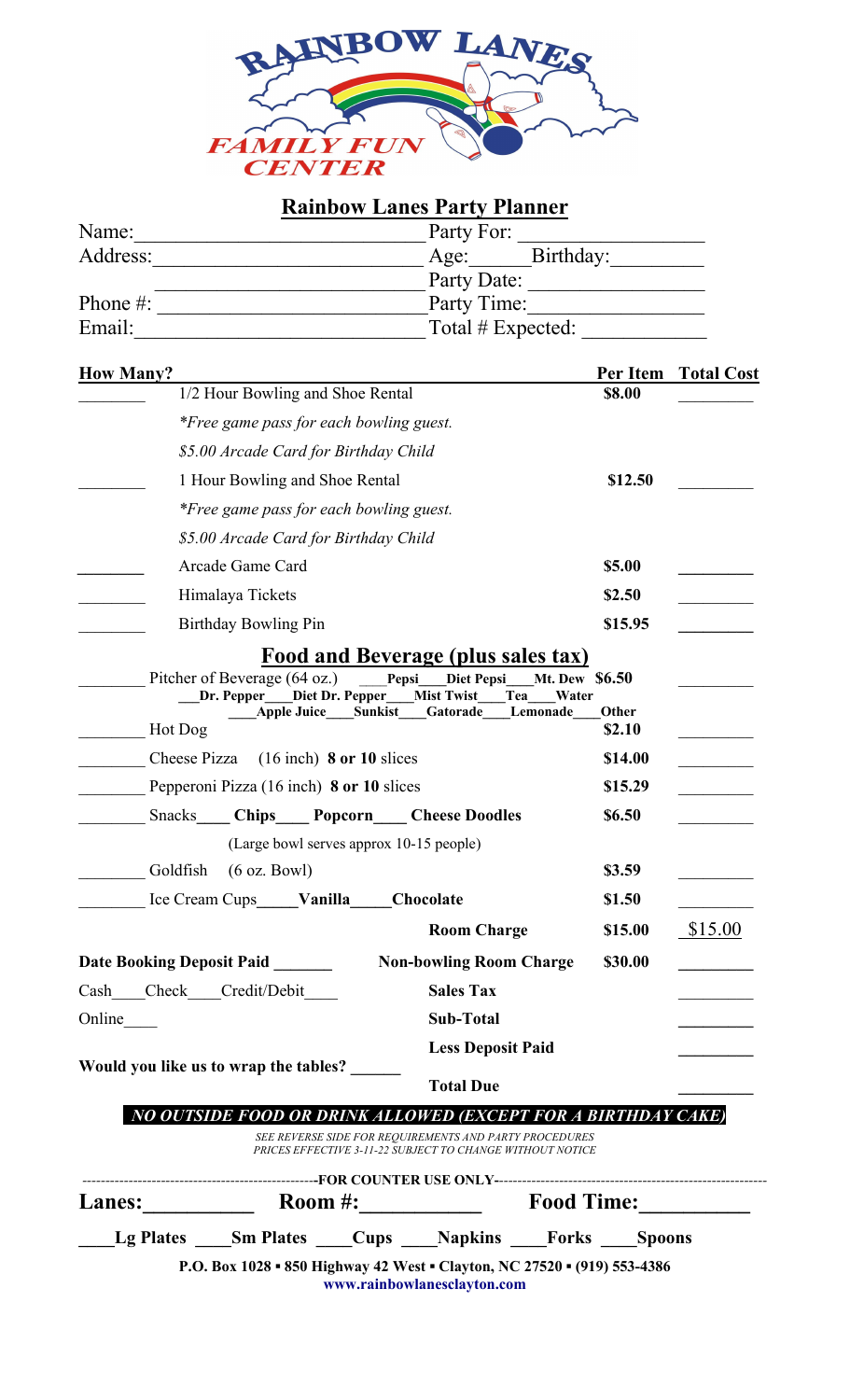

## **Rainbow Lanes Party Planner**

| Name:        | Party For:        |
|--------------|-------------------|
| Address:     | Age: Birthday:    |
|              | Party Date:       |
| Phone $\#$ : | Party Time:       |
| Email:       | Total # Expected: |

| <b>How Many?</b>                                                                                                                                                                                     | Per Item        | <b>Total Cost</b> |
|------------------------------------------------------------------------------------------------------------------------------------------------------------------------------------------------------|-----------------|-------------------|
| 1/2 Hour Bowling and Shoe Rental                                                                                                                                                                     | \$8.00          |                   |
| *Free game pass for each bowling guest.                                                                                                                                                              |                 |                   |
| \$5.00 Arcade Card for Birthday Child                                                                                                                                                                |                 |                   |
| 1 Hour Bowling and Shoe Rental                                                                                                                                                                       | \$12.50         |                   |
| *Free game pass for each bowling guest.                                                                                                                                                              |                 |                   |
| \$5.00 Arcade Card for Birthday Child                                                                                                                                                                |                 |                   |
| Arcade Game Card                                                                                                                                                                                     | \$5.00          |                   |
| Himalaya Tickets                                                                                                                                                                                     | \$2.50          |                   |
| <b>Birthday Bowling Pin</b>                                                                                                                                                                          | \$15.95         |                   |
| Pitcher of Beverage (64 oz.) Pepsi Diet Pepsi<br><b>Mt. Dew \$6.50</b><br>Dr. Pepper___Diet Dr. Pepper___Mist Twist<br>Tea<br>Water<br><b>Apple Juice Sunkist</b><br>Gatorade<br>Lemonade<br>Hot Dog | Other<br>\$2.10 |                   |
| $(16$ inch) 8 or 10 slices<br>Cheese Pizza                                                                                                                                                           | \$14.00         |                   |
| Pepperoni Pizza (16 inch) 8 or 10 slices                                                                                                                                                             | \$15.29         |                   |
| <b>Snacks Chips Popcorn Cheese Doodles</b>                                                                                                                                                           | \$6.50          |                   |
| (Large bowl serves approx 10-15 people)                                                                                                                                                              |                 |                   |
| Goldfish<br>$(6 \text{ oz. } Bowl)$                                                                                                                                                                  | \$3.59          |                   |
| Ice Cream Cups Vanilla<br>Chocolate                                                                                                                                                                  | \$1.50          |                   |
| <b>Room Charge</b>                                                                                                                                                                                   | \$15.00         | \$15.00           |
| <b>Date Booking Deposit Paid</b><br><b>Non-bowling Room Charge</b>                                                                                                                                   | \$30.00         |                   |
| Check<br>Credit/Debit<br><b>Sales Tax</b><br>Cash                                                                                                                                                    |                 |                   |
| <b>Sub-Total</b><br>Online                                                                                                                                                                           |                 |                   |
| <b>Less Deposit Paid</b>                                                                                                                                                                             |                 |                   |
| Would you like us to wrap the tables?<br><b>Total Due</b>                                                                                                                                            |                 |                   |
| NO OUTSIDE FOOD OR DRINK ALLOWED (EXCEPT FOR A BIRTHDAY CAKE)                                                                                                                                        |                 |                   |
| SEE REVERSE SIDE FOR REQUIREMENTS AND PARTY PROCEDURES<br>PRICES EFFECTIVE 3-11-22 SUBJECT TO CHANGE WITHOUT NOTICE                                                                                  |                 |                   |
|                                                                                                                                                                                                      |                 |                   |

| <b>Lanes:</b> | Room $#$ :                                                               |  | <b>Food Time:</b>           |  |               |
|---------------|--------------------------------------------------------------------------|--|-----------------------------|--|---------------|
| Lg Plates     | <b>Sm Plates</b> Cups                                                    |  | <b>Napkins</b> Forks        |  | <b>Spoons</b> |
|               | P.O. Box 1028 • 850 Highway 42 West • Clayton, NC 27520 • (919) 553-4386 |  | www.rainbowlanesclayton.com |  |               |